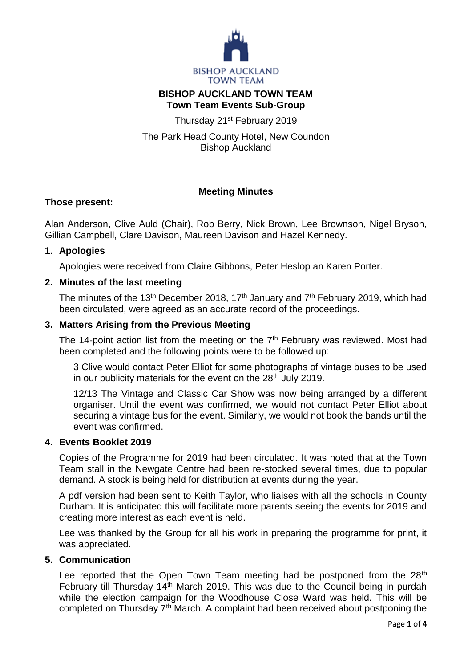

# **BISHOP AUCKLAND TOWN TEAM Town Team Events Sub-Group**

Thursday 21<sup>st</sup> February 2019

The Park Head County Hotel, New Coundon Bishop Auckland

# **Meeting Minutes**

## **Those present:**

Alan Anderson, Clive Auld (Chair), Rob Berry, Nick Brown, Lee Brownson, Nigel Bryson, Gillian Campbell, Clare Davison, Maureen Davison and Hazel Kennedy.

## **1. Apologies**

Apologies were received from Claire Gibbons, Peter Heslop an Karen Porter.

# **2. Minutes of the last meeting**

The minutes of the 13<sup>th</sup> December 2018, 17<sup>th</sup> January and  $7<sup>th</sup>$  February 2019, which had been circulated, were agreed as an accurate record of the proceedings.

## **3. Matters Arising from the Previous Meeting**

The 14-point action list from the meeting on the 7<sup>th</sup> February was reviewed. Most had been completed and the following points were to be followed up:

3 Clive would contact Peter Elliot for some photographs of vintage buses to be used in our publicity materials for the event on the  $28<sup>th</sup>$  July 2019.

12/13 The Vintage and Classic Car Show was now being arranged by a different organiser. Until the event was confirmed, we would not contact Peter Elliot about securing a vintage bus for the event. Similarly, we would not book the bands until the event was confirmed.

## **4. Events Booklet 2019**

Copies of the Programme for 2019 had been circulated. It was noted that at the Town Team stall in the Newgate Centre had been re-stocked several times, due to popular demand. A stock is being held for distribution at events during the year.

A pdf version had been sent to Keith Taylor, who liaises with all the schools in County Durham. It is anticipated this will facilitate more parents seeing the events for 2019 and creating more interest as each event is held.

Lee was thanked by the Group for all his work in preparing the programme for print, it was appreciated.

## **5. Communication**

Lee reported that the Open Town Team meeting had be postponed from the 28<sup>th</sup> February till Thursday 14<sup>th</sup> March 2019. This was due to the Council being in purdah while the election campaign for the Woodhouse Close Ward was held. This will be completed on Thursday 7<sup>th</sup> March. A complaint had been received about postponing the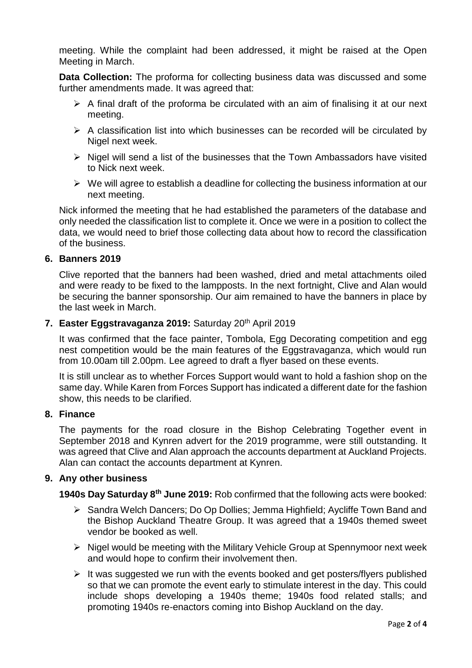meeting. While the complaint had been addressed, it might be raised at the Open Meeting in March.

**Data Collection:** The proforma for collecting business data was discussed and some further amendments made. It was agreed that:

- $\triangleright$  A final draft of the proforma be circulated with an aim of finalising it at our next meeting.
- $\triangleright$  A classification list into which businesses can be recorded will be circulated by Nigel next week.
- $\triangleright$  Nigel will send a list of the businesses that the Town Ambassadors have visited to Nick next week.
- $\triangleright$  We will agree to establish a deadline for collecting the business information at our next meeting.

Nick informed the meeting that he had established the parameters of the database and only needed the classification list to complete it. Once we were in a position to collect the data, we would need to brief those collecting data about how to record the classification of the business.

#### **6. Banners 2019**

Clive reported that the banners had been washed, dried and metal attachments oiled and were ready to be fixed to the lampposts. In the next fortnight, Clive and Alan would be securing the banner sponsorship. Our aim remained to have the banners in place by the last week in March.

#### **7. Easter Eggstravaganza 2019:** Saturday 20th April 2019

It was confirmed that the face painter, Tombola, Egg Decorating competition and egg nest competition would be the main features of the Eggstravaganza, which would run from 10.00am till 2.00pm. Lee agreed to draft a flyer based on these events.

It is still unclear as to whether Forces Support would want to hold a fashion shop on the same day. While Karen from Forces Support has indicated a different date for the fashion show, this needs to be clarified.

#### **8. Finance**

The payments for the road closure in the Bishop Celebrating Together event in September 2018 and Kynren advert for the 2019 programme, were still outstanding. It was agreed that Clive and Alan approach the accounts department at Auckland Projects. Alan can contact the accounts department at Kynren.

## **9. Any other business**

**1940s Day Saturday 8th June 2019:** Rob confirmed that the following acts were booked:

- ▶ Sandra Welch Dancers; Do Op Dollies; Jemma Highfield; Aycliffe Town Band and the Bishop Auckland Theatre Group. It was agreed that a 1940s themed sweet vendor be booked as well.
- $\triangleright$  Nigel would be meeting with the Military Vehicle Group at Spennymoor next week and would hope to confirm their involvement then.
- $\triangleright$  It was suggested we run with the events booked and get posters/flyers published so that we can promote the event early to stimulate interest in the day. This could include shops developing a 1940s theme; 1940s food related stalls; and promoting 1940s re-enactors coming into Bishop Auckland on the day.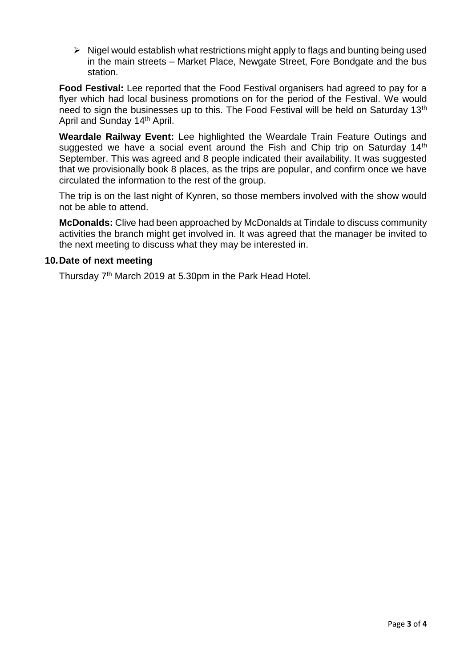$\triangleright$  Nigel would establish what restrictions might apply to flags and bunting being used in the main streets – Market Place, Newgate Street, Fore Bondgate and the bus station.

**Food Festival:** Lee reported that the Food Festival organisers had agreed to pay for a flyer which had local business promotions on for the period of the Festival. We would need to sign the businesses up to this. The Food Festival will be held on Saturday 13<sup>th</sup> April and Sunday 14th April.

**Weardale Railway Event:** Lee highlighted the Weardale Train Feature Outings and suggested we have a social event around the Fish and Chip trip on Saturday 14<sup>th</sup> September. This was agreed and 8 people indicated their availability. It was suggested that we provisionally book 8 places, as the trips are popular, and confirm once we have circulated the information to the rest of the group.

The trip is on the last night of Kynren, so those members involved with the show would not be able to attend.

**McDonalds:** Clive had been approached by McDonalds at Tindale to discuss community activities the branch might get involved in. It was agreed that the manager be invited to the next meeting to discuss what they may be interested in.

#### **10.Date of next meeting**

Thursday 7<sup>th</sup> March 2019 at 5.30pm in the Park Head Hotel.